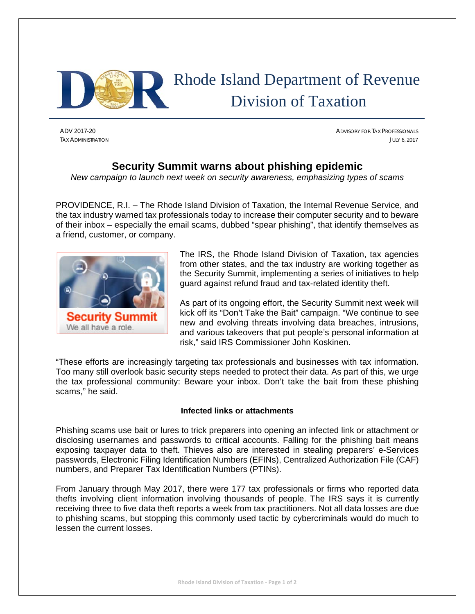

# Rhode Island Department of Revenue Division of Taxation

ADV 2017-20 ADVISORY FOR TAX PROFESSIONALS TAX ADMINISTRATION JULY 6, 2017

### **Security Summit warns about phishing epidemic**

*New campaign to launch next week on security awareness, emphasizing types of scams* 

PROVIDENCE, R.I. – The Rhode Island Division of Taxation, the Internal Revenue Service, and the tax industry warned tax professionals today to increase their computer security and to beware of their inbox – especially the email scams, dubbed "spear phishing", that identify themselves as a friend, customer, or company.



The IRS, the Rhode Island Division of Taxation, tax agencies from other states, and the tax industry are working together as the Security Summit, implementing a series of initiatives to help guard against refund fraud and tax-related identity theft.

As part of its ongoing effort, the Security Summit next week will kick off its "Don't Take the Bait" campaign. "We continue to see new and evolving threats involving data breaches, intrusions, and various takeovers that put people's personal information at risk," said IRS Commissioner John Koskinen.

"These efforts are increasingly targeting tax professionals and businesses with tax information. Too many still overlook basic security steps needed to protect their data. As part of this, we urge the tax professional community: Beware your inbox. Don't take the bait from these phishing scams," he said.

#### **Infected links or attachments**

Phishing scams use bait or lures to trick preparers into opening an infected link or attachment or disclosing usernames and passwords to critical accounts. Falling for the phishing bait means exposing taxpayer data to theft. Thieves also are interested in stealing preparers' e-Services passwords, Electronic Filing Identification Numbers (EFINs), Centralized Authorization File (CAF) numbers, and Preparer Tax Identification Numbers (PTINs).

From January through May 2017, there were 177 tax professionals or firms who reported data thefts involving client information involving thousands of people. The IRS says it is currently receiving three to five data theft reports a week from tax practitioners. Not all data losses are due to phishing scams, but stopping this commonly used tactic by cybercriminals would do much to lessen the current losses.